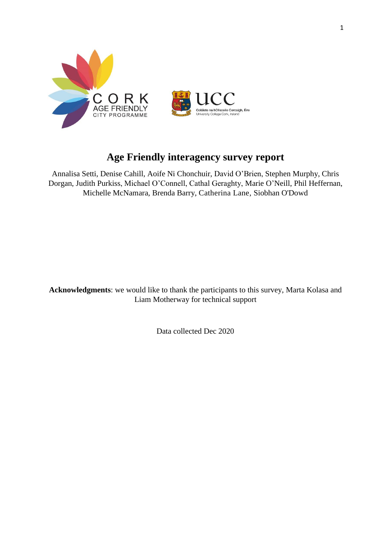

# **Age Friendly interagency survey report**

Annalisa Setti, Denise Cahill, Aoife Ni Chonchuir, David O'Brien, Stephen Murphy, Chris Dorgan, Judith Purkiss, Michael O'Connell, Cathal Geraghty, Marie O'Neill, Phil Heffernan, Michelle McNamara, Brenda Barry, Catherina Lane, Siobhan O'Dowd

**Acknowledgments**: we would like to thank the participants to this survey, Marta Kolasa and Liam Motherway for technical support

Data collected Dec 2020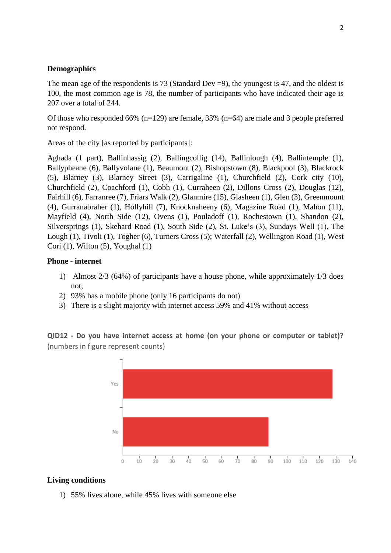### **Demographics**

The mean age of the respondents is 73 (Standard Dev  $= 9$ ), the youngest is 47, and the oldest is 100, the most common age is 78, the number of participants who have indicated their age is 207 over a total of 244.

Of those who responded 66% (n=129) are female, 33% (n=64) are male and 3 people preferred not respond.

Areas of the city [as reported by participants]:

Aghada (1 part), Ballinhassig (2), Ballingcollig (14), Ballinlough (4), Ballintemple (1), Ballypheane (6), Ballyvolane (1), Beaumont (2), Bishopstown (8), Blackpool (3), Blackrock (5), Blarney (3), Blarney Street (3), Carrigaline (1), Churchfield (2), Cork city (10), Churchfield (2), Coachford (1), Cobh (1), Curraheen (2), Dillons Cross (2), Douglas (12), Fairhill (6), Farranree (7), Friars Walk (2), Glanmire (15), Glasheen (1), Glen (3), Greenmount (4), Gurranabraher (1), Hollyhill (7), Knocknaheeny (6), Magazine Road (1), Mahon (11), Mayfield (4), North Side (12), Ovens (1), Pouladoff (1), Rochestown (1), Shandon (2), Silversprings (1), Skehard Road (1), South Side (2), St. Luke's (3), Sundays Well (1), The Lough (1), Tivoli (1), Togher (6), Turners Cross (5); Waterfall (2), Wellington Road (1), West Cori (1), Wilton (5), Youghal (1)

#### **Phone - internet**

- 1) Almost 2/3 (64%) of participants have a house phone, while approximately 1/3 does not;
- 2) 93% has a mobile phone (only 16 participants do not)
- 3) There is a slight majority with internet access 59% and 41% without access

**QID12 - Do you have internet access at home (on your phone or computer or tablet)?**  (numbers in figure represent counts)



#### **Living conditions**

1) 55% lives alone, while 45% lives with someone else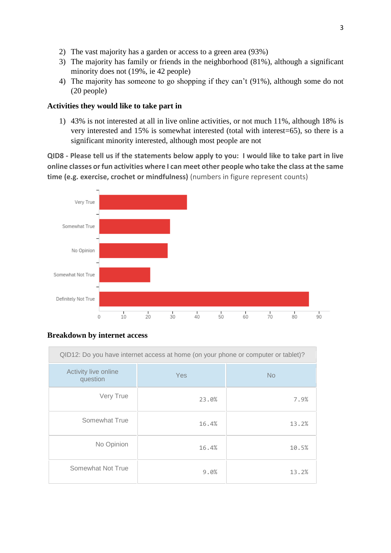- 2) The vast majority has a garden or access to a green area (93%)
- 3) The majority has family or friends in the neighborhood (81%), although a significant minority does not (19%, ie 42 people)
- 4) The majority has someone to go shopping if they can't (91%), although some do not (20 people)

# **Activities they would like to take part in**

1) 43% is not interested at all in live online activities, or not much 11%, although 18% is very interested and 15% is somewhat interested (total with interest=65), so there is a significant minority interested, although most people are not

**QID8 - Please tell us if the statements below apply to you: I would like to take part in live online classes or fun activities where I can meet other people who take the class at the same time (e.g. exercise, crochet or mindfulness)** (numbers in figure represent counts)



#### **Breakdown by internet access**

| QID12: Do you have internet access at home (on your phone or computer or tablet)? |       |           |  |
|-----------------------------------------------------------------------------------|-------|-----------|--|
| Activity live online<br>question                                                  | Yes   | <b>No</b> |  |
| Very True                                                                         | 23.0% | 7.9%      |  |
| Somewhat True                                                                     | 16.4% | 13.2%     |  |
| No Opinion                                                                        | 16.4% | 10.5%     |  |
| Somewhat Not True                                                                 | 9.0%  | 13.2%     |  |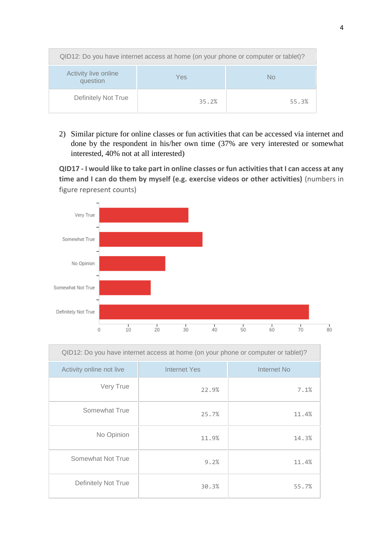| QID12: Do you have internet access at home (on your phone or computer or tablet)? |       |       |  |
|-----------------------------------------------------------------------------------|-------|-------|--|
| Activity live online<br>question                                                  | Yes.  | No    |  |
| Definitely Not True                                                               | 35.2% | 55.3% |  |

2) Similar picture for online classes or fun activities that can be accessed via internet and done by the respondent in his/her own time (37% are very interested or somewhat interested, 40% not at all interested)

**QID17 - I would like to take part in online classes or fun activities that I can access at any time and I can do them by myself (e.g. exercise videos or other activities)** (numbers in figure represent counts)



| QID12: Do you have internet access at home (on your phone or computer or tablet)? |              |             |  |
|-----------------------------------------------------------------------------------|--------------|-------------|--|
| Activity online not live                                                          | Internet Yes | Internet No |  |
| Very True                                                                         | 22.9%        | 7.1%        |  |
| Somewhat True                                                                     | 25.7%        | 11.4%       |  |
| No Opinion                                                                        | 11.9%        | 14.3%       |  |
| Somewhat Not True                                                                 | 9.2%         | 11.4%       |  |
| Definitely Not True                                                               | 30.3%        | 55.7%       |  |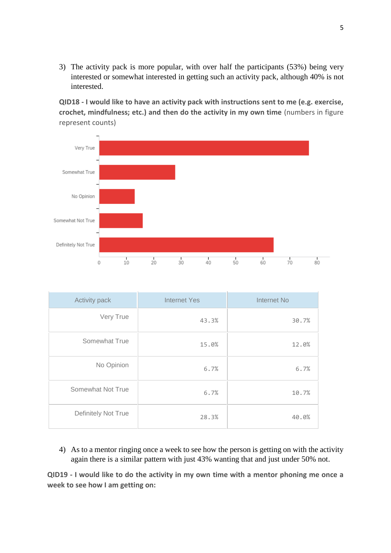3) The activity pack is more popular, with over half the participants (53%) being very interested or somewhat interested in getting such an activity pack, although 40% is not interested.

**QID18 - I would like to have an activity pack with instructions sent to me (e.g. exercise, crochet, mindfulness; etc.) and then do the activity in my own time** (numbers in figure represent counts)



| Activity pack       | <b>Internet Yes</b> | Internet No |  |
|---------------------|---------------------|-------------|--|
| Very True           | 43.3%               | 30.7%       |  |
| Somewhat True       | 15.0%               | 12.0%       |  |
| No Opinion          | 6.7%                | 6.7%        |  |
| Somewhat Not True   | 6.7%                | 10.7%       |  |
| Definitely Not True | 28.3%               | 40.0%       |  |

4) As to a mentor ringing once a week to see how the person is getting on with the activity again there is a similar pattern with just 43% wanting that and just under 50% not.

**QID19 - I would like to do the activity in my own time with a mentor phoning me once a week to see how I am getting on:**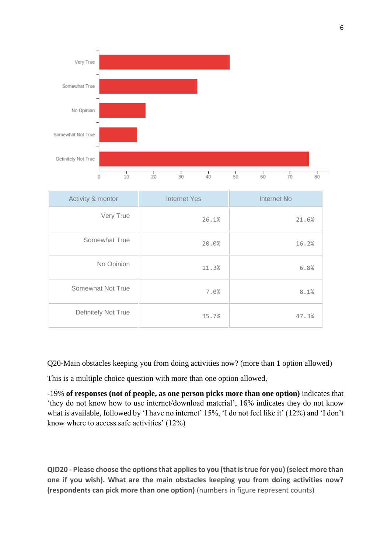

| Activity & mentor   | <b>Internet Yes</b> | Internet No |  |
|---------------------|---------------------|-------------|--|
| Very True           | 26.1%               | 21.6%       |  |
| Somewhat True       | 20.0%               | 16.2%       |  |
| No Opinion          | 11.3%               | 6.8%        |  |
| Somewhat Not True   | 7.0%                | 8.1%        |  |
| Definitely Not True | 35.7%               | 47.3%       |  |

Q20-Main obstacles keeping you from doing activities now? (more than 1 option allowed)

This is a multiple choice question with more than one option allowed,

-19% **of responses (not of people, as one person picks more than one option)** indicates that 'they do not know how to use internet/download material', 16% indicates they do not know what is available, followed by 'I have no internet' 15%, 'I do not feel like it' (12%) and 'I don't know where to access safe activities' (12%)

**QID20 - Please choose the options that applies to you (that is true for you) (select more than one if you wish). What are the main obstacles keeping you from doing activities now? (respondents can pick more than one option)** (numbers in figure represent counts)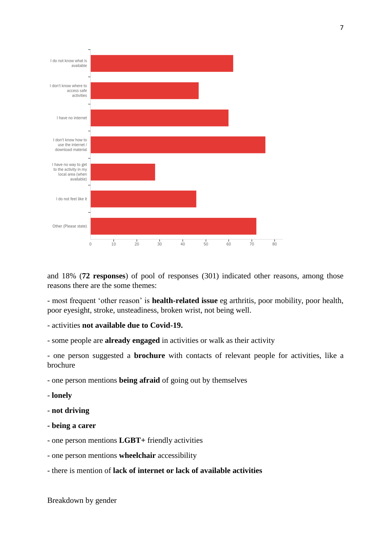

and 18% (**72 responses**) of pool of responses (301) indicated other reasons, among those reasons there are the some themes:

- most frequent 'other reason' is **health-related issue** eg arthritis, poor mobility, poor health, poor eyesight, stroke, unsteadiness, broken wrist, not being well.

- activities **not available due to Covid-19.**
- some people are **already engaged** in activities or walk as their activity

- one person suggested a **brochure** with contacts of relevant people for activities, like a brochure

- one person mentions **being afraid** of going out by themselves
- **lonely**
- **not driving**
- **- being a carer**
- one person mentions **LGBT+** friendly activities
- one person mentions **wheelchair** accessibility
- there is mention of **lack of internet or lack of available activities**

Breakdown by gender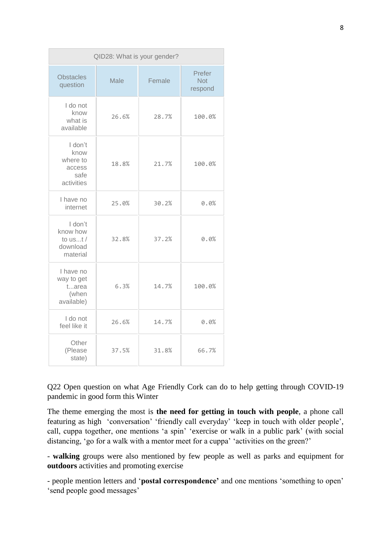| QID28: What is your gender?                                 |       |        |                                 |
|-------------------------------------------------------------|-------|--------|---------------------------------|
| <b>Obstacles</b><br>question                                | Male  | Female | Prefer<br><b>Not</b><br>respond |
| I do not<br>know<br>what is<br>available                    | 26.6% | 28.7%  | 100.0%                          |
| I don't<br>know<br>where to<br>access<br>safe<br>activities | 18.8% | 21.7%  | 100.0%                          |
| I have no<br>internet                                       | 25.0% | 30.2%  | 0.0%                            |
| I don't<br>know how<br>to $ust/$<br>download<br>material    | 32.8% | 37.2%  | 0.0%                            |
| I have no<br>way to get<br>tarea<br>(when<br>available)     | 6.3%  | 14.7%  | 100.0%                          |
| I do not<br>feel like it                                    | 26.6% | 14.7%  | 0.0%                            |
| Other<br>(Please<br>state)                                  | 37.5% | 31.8%  | 66.7%                           |

Q22 Open question on what Age Friendly Cork can do to help getting through COVID-19 pandemic in good form this Winter

The theme emerging the most is **the need for getting in touch with people**, a phone call featuring as high 'conversation' 'friendly call everyday' 'keep in touch with older people', call, cuppa together, one mentions 'a spin' 'exercise or walk in a public park' (with social distancing, 'go for a walk with a mentor meet for a cuppa' 'activities on the green?'

- **walking** groups were also mentioned by few people as well as parks and equipment for **outdoors** activities and promoting exercise

- people mention letters and '**postal correspondence'** and one mentions 'something to open' 'send people good messages'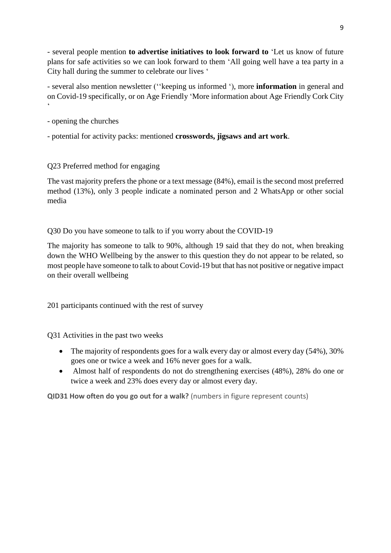- several people mention **to advertise initiatives to look forward to** 'Let us know of future plans for safe activities so we can look forward to them 'All going well have a tea party in a City hall during the summer to celebrate our lives '

- several also mention newsletter (''keeping us informed '), more **information** in general and on Covid-19 specifically, or on Age Friendly 'More information about Age Friendly Cork City  $\ddot{\phantom{0}}$ 

- opening the churches
- potential for activity packs: mentioned **crosswords, jigsaws and art work**.

# Q23 Preferred method for engaging

The vast majority prefers the phone or a text message (84%), email is the second most preferred method (13%), only 3 people indicate a nominated person and 2 WhatsApp or other social media

Q30 Do you have someone to talk to if you worry about the COVID-19

The majority has someone to talk to 90%, although 19 said that they do not, when breaking down the WHO Wellbeing by the answer to this question they do not appear to be related, so most people have someone to talk to about Covid-19 but that has not positive or negative impact on their overall wellbeing

201 participants continued with the rest of survey

Q31 Activities in the past two weeks

- The majority of respondents goes for a walk every day or almost every day (54%), 30% goes one or twice a week and 16% never goes for a walk.
- Almost half of respondents do not do strengthening exercises (48%), 28% do one or twice a week and 23% does every day or almost every day.

**QID31 How often do you go out for a walk?** (numbers in figure represent counts)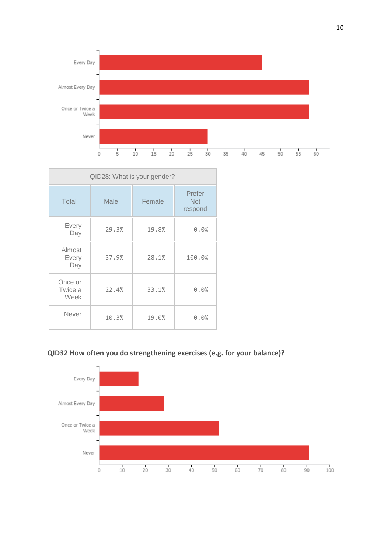

| QID28: What is your gender? |       |        |                                 |
|-----------------------------|-------|--------|---------------------------------|
| Total                       | Male  | Female | Prefer<br><b>Not</b><br>respond |
| Every<br>Day                | 29.3% | 19.8%  | 0.0%                            |
| Almost<br>Every<br>Day      | 37.9% | 28.1%  | 100.0%                          |
| Once or<br>Twice a<br>Week  | 22.4% | 33.1%  | 0.0%                            |
| Never                       | 10.3% | 19.0%  | 0.0%                            |



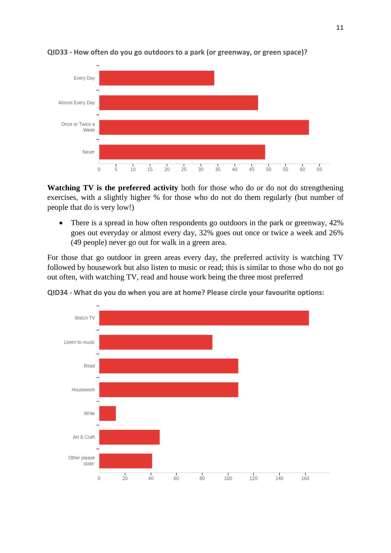



**Watching TV is the preferred activity** both for those who do or do not do strengthening exercises, with a slightly higher % for those who do not do them regularly (but number of people that do is very low!)

 There is a spread in how often respondents go outdoors in the park or greenway, 42% goes out everyday or almost every day, 32% goes out once or twice a week and 26% (49 people) never go out for walk in a green area.

For those that go outdoor in green areas every day, the preferred activity is watching TV followed by housework but also listen to music or read; this is similar to those who do not go out often, with watching TV, read and house work being the three most preferred



**QID34 - What do you do when you are at home? Please circle your favourite options:**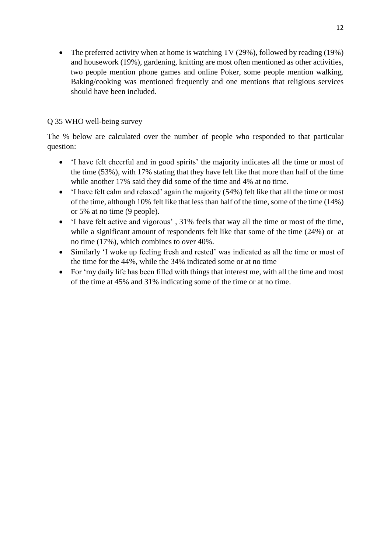• The preferred activity when at home is watching TV (29%), followed by reading (19%) and housework (19%), gardening, knitting are most often mentioned as other activities, two people mention phone games and online Poker, some people mention walking. Baking/cooking was mentioned frequently and one mentions that religious services should have been included.

# Q 35 WHO well-being survey

The % below are calculated over the number of people who responded to that particular question:

- 'I have felt cheerful and in good spirits' the majority indicates all the time or most of the time (53%), with 17% stating that they have felt like that more than half of the time while another 17% said they did some of the time and 4% at no time.
- 'I have felt calm and relaxed' again the majority (54%) felt like that all the time or most of the time, although 10% felt like that less than half of the time, some of the time (14%) or 5% at no time (9 people).
- 'I have felt active and vigorous' , 31% feels that way all the time or most of the time, while a significant amount of respondents felt like that some of the time (24%) or at no time (17%), which combines to over 40%.
- Similarly 'I woke up feeling fresh and rested' was indicated as all the time or most of the time for the 44%, while the 34% indicated some or at no time
- For 'my daily life has been filled with things that interest me, with all the time and most of the time at 45% and 31% indicating some of the time or at no time.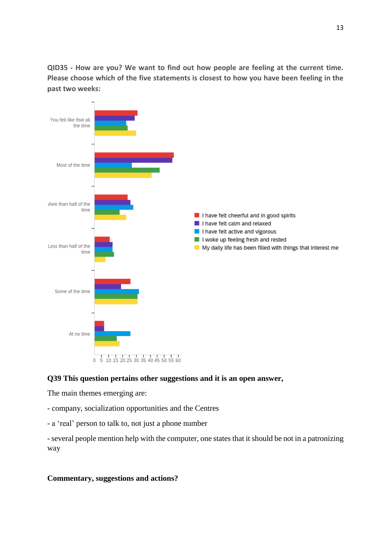**QID35 - How are you? We want to find out how people are feeling at the current time. Please choose which of the five statements is closest to how you have been feeling in the past two weeks:**



# **Q39 This question pertains other suggestions and it is an open answer,**

The main themes emerging are:

- company, socialization opportunities and the Centres
- a 'real' person to talk to, not just a phone number

- several people mention help with the computer, one states that it should be not in a patronizing way

# **Commentary, suggestions and actions?**